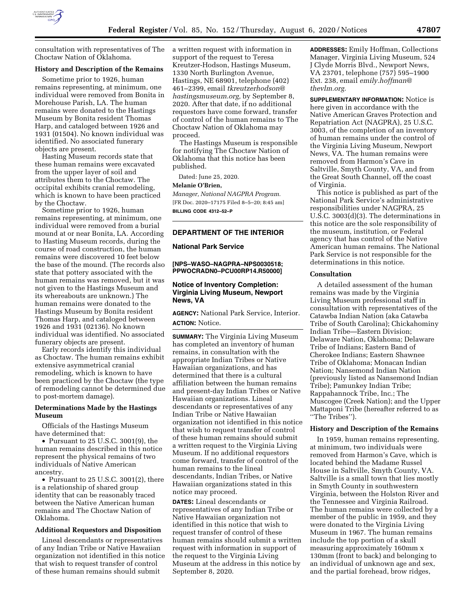

consultation with representatives of The Choctaw Nation of Oklahoma.

## **History and Description of the Remains**

Sometime prior to 1926, human remains representing, at minimum, one individual were removed from Bonita in Morehouse Parish, LA. The human remains were donated to the Hastings Museum by Bonita resident Thomas Harp, and cataloged between 1926 and 1931 (01504). No known individual was identified. No associated funerary objects are present.

Hasting Museum records state that these human remains were excavated from the upper layer of soil and attributes them to the Choctaw. The occipital exhibits cranial remodeling, which is known to have been practiced by the Choctaw.

Sometime prior to 1926, human remains representing, at minimum, one individual were removed from a burial mound at or near Bonita, LA. According to Hasting Museum records, during the course of road construction, the human remains were discovered 10 feet below the base of the mound. (The records also state that pottery associated with the human remains was removed, but it was not given to the Hastings Museum and its whereabouts are unknown.) The human remains were donated to the Hastings Museum by Bonita resident Thomas Harp, and cataloged between 1926 and 1931 (02136). No known individual was identified. No associated funerary objects are present.

Early records identify this individual as Choctaw. The human remains exhibit extensive asymmetrical cranial remodeling, which is known to have been practiced by the Choctaw (the type of remodeling cannot be determined due to post-mortem damage).

# **Determinations Made by the Hastings Museum**

Officials of the Hastings Museum have determined that:

• Pursuant to 25 U.S.C. 3001(9), the human remains described in this notice represent the physical remains of two individuals of Native American ancestry.

• Pursuant to 25 U.S.C. 3001(2), there is a relationship of shared group identity that can be reasonably traced between the Native American human remains and The Choctaw Nation of Oklahoma.

## **Additional Requestors and Disposition**

Lineal descendants or representatives of any Indian Tribe or Native Hawaiian organization not identified in this notice that wish to request transfer of control of these human remains should submit

a written request with information in support of the request to Teresa Kreutzer-Hodson, Hastings Museum, 1330 North Burlington Avenue, Hastings, NE 68901, telephone (402) 461–2399, email *[tkreutzerhodson@](mailto:tkreutzerhodson@hastingsmuseum.org) [hastingsmuseum.org,](mailto:tkreutzerhodson@hastingsmuseum.org)* by September 8, 2020. After that date, if no additional requestors have come forward, transfer of control of the human remains to The Choctaw Nation of Oklahoma may proceed.

The Hastings Museum is responsible for notifying The Choctaw Nation of Oklahoma that this notice has been published.

Dated: June 25, 2020.

### **Melanie O'Brien,**

*Manager, National NAGPRA Program.*  [FR Doc. 2020–17175 Filed 8–5–20; 8:45 am] **BILLING CODE 4312–52–P** 

# **DEPARTMENT OF THE INTERIOR**

### **National Park Service**

**[NPS–WASO–NAGPRA–NPS0030518; PPWOCRADN0–PCU00RP14.R50000]** 

# **Notice of Inventory Completion: Virginia Living Museum, Newport News, VA**

**AGENCY:** National Park Service, Interior. **ACTION:** Notice.

**SUMMARY:** The Virginia Living Museum has completed an inventory of human remains, in consultation with the appropriate Indian Tribes or Native Hawaiian organizations, and has determined that there is a cultural affiliation between the human remains and present-day Indian Tribes or Native Hawaiian organizations. Lineal descendants or representatives of any Indian Tribe or Native Hawaiian organization not identified in this notice that wish to request transfer of control of these human remains should submit a written request to the Virginia Living Museum. If no additional requestors come forward, transfer of control of the human remains to the lineal descendants, Indian Tribes, or Native Hawaiian organizations stated in this notice may proceed.

**DATES:** Lineal descendants or representatives of any Indian Tribe or Native Hawaiian organization not identified in this notice that wish to request transfer of control of these human remains should submit a written request with information in support of the request to the Virginia Living Museum at the address in this notice by September 8, 2020.

**ADDRESSES:** Emily Hoffman, Collections Manager, Virginia Living Museum, 524 J Clyde Morris Blvd., Newport News, VA 23701, telephone (757) 595–1900 Ext. 238, email *[emily.hoffman@](mailto:emily.hoffman@thevlm.org) [thevlm.org.](mailto:emily.hoffman@thevlm.org)* 

**SUPPLEMENTARY INFORMATION:** Notice is here given in accordance with the Native American Graves Protection and Repatriation Act (NAGPRA), 25 U.S.C. 3003, of the completion of an inventory of human remains under the control of the Virginia Living Museum, Newport News, VA. The human remains were removed from Harmon's Cave in Saltville, Smyth County, VA, and from the Great South Channel, off the coast of Virginia.

This notice is published as part of the National Park Service's administrative responsibilities under NAGPRA, 25 U.S.C. 3003(d)(3). The determinations in this notice are the sole responsibility of the museum, institution, or Federal agency that has control of the Native American human remains. The National Park Service is not responsible for the determinations in this notice.

## **Consultation**

A detailed assessment of the human remains was made by the Virginia Living Museum professional staff in consultation with representatives of the Catawba Indian Nation (aka Catawba Tribe of South Carolina); Chickahominy Indian Tribe—Eastern Division; Delaware Nation, Oklahoma; Delaware Tribe of Indians; Eastern Band of Cherokee Indians; Eastern Shawnee Tribe of Oklahoma; Monacan Indian Nation; Nansemond Indian Nation (previously listed as Nansemond Indian Tribe); Pamunkey Indian Tribe; Rappahannock Tribe, Inc.; The Muscogee (Creek Nation); and the Upper Mattaponi Tribe (hereafter referred to as ''The Tribes'').

## **History and Description of the Remains**

In 1959, human remains representing, at minimum, two individuals were removed from Harmon's Cave, which is located behind the Madame Russel House in Saltville, Smyth County, VA. Saltville is a small town that lies mostly in Smyth County in southwestern Virginia, between the Holston River and the Tennessee and Virginia Railroad. The human remains were collected by a member of the public in 1959, and they were donated to the Virginia Living Museum in 1967. The human remains include the top portion of a skull measuring approximately 160mm x 130mm (front to back) and belonging to an individual of unknown age and sex, and the partial forehead, brow ridges,